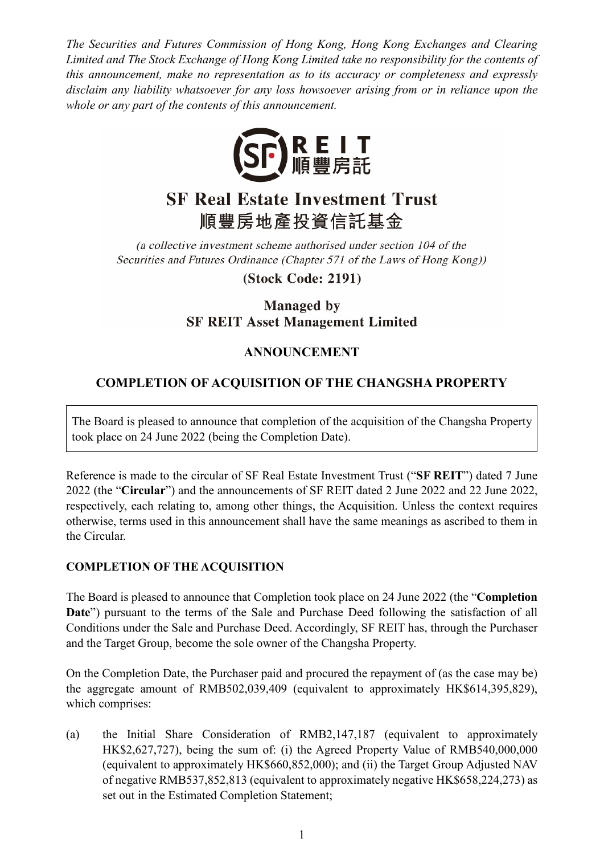*The Securities and Futures Commission of Hong Kong, Hong Kong Exchanges and Clearing Limited and The Stock Exchange of Hong Kong Limited take no responsibility for the contents of this announcement, make no representation as to its accuracy or completeness and expressly disclaim any liability whatsoever for any loss howsoever arising from or in reliance upon the whole or any part of the contents of this announcement.*



# **SF Real Estate Investment Trust** 順豐房地產投資信託基金

(a collective investment scheme authorised under section 104 of the Securities and Futures Ordinance (Chapter 571 of the Laws of Hong Kong))

**(Stock Code: 2191)** 

## **Managed** by **SF REIT Asset Management Limited**

## **ANNOUNCEMENT**

# **COMPLETION OF ACQUISITION OF THE CHANGSHA PROPERTY**

The Board is pleased to announce that completion of the acquisition of the Changsha Property took place on 24 June 2022 (being the Completion Date).

Reference is made to the circular of SF Real Estate Investment Trust ("**SF REIT**") dated 7 June 2022 (the "**Circular**") and the announcements of SF REIT dated 2 June 2022 and 22 June 2022, respectively, each relating to, among other things, the Acquisition. Unless the context requires otherwise, terms used in this announcement shall have the same meanings as ascribed to them in the Circular.

#### **COMPLETION OF THE ACQUISITION**

The Board is pleased to announce that Completion took place on 24 June 2022 (the "**Completion Date**") pursuant to the terms of the Sale and Purchase Deed following the satisfaction of all Conditions under the Sale and Purchase Deed. Accordingly, SF REIT has, through the Purchaser and the Target Group, become the sole owner of the Changsha Property.

On the Completion Date, the Purchaser paid and procured the repayment of (as the case may be) the aggregate amount of RMB502,039,409 (equivalent to approximately HK\$614,395,829), which comprises:

(a) the Initial Share Consideration of RMB2,147,187 (equivalent to approximately HK\$2,627,727), being the sum of: (i) the Agreed Property Value of RMB540,000,000 (equivalent to approximately HK\$660,852,000); and (ii) the Target Group Adjusted NAV of negative RMB537,852,813 (equivalent to approximately negative HK\$658,224,273) as set out in the Estimated Completion Statement;